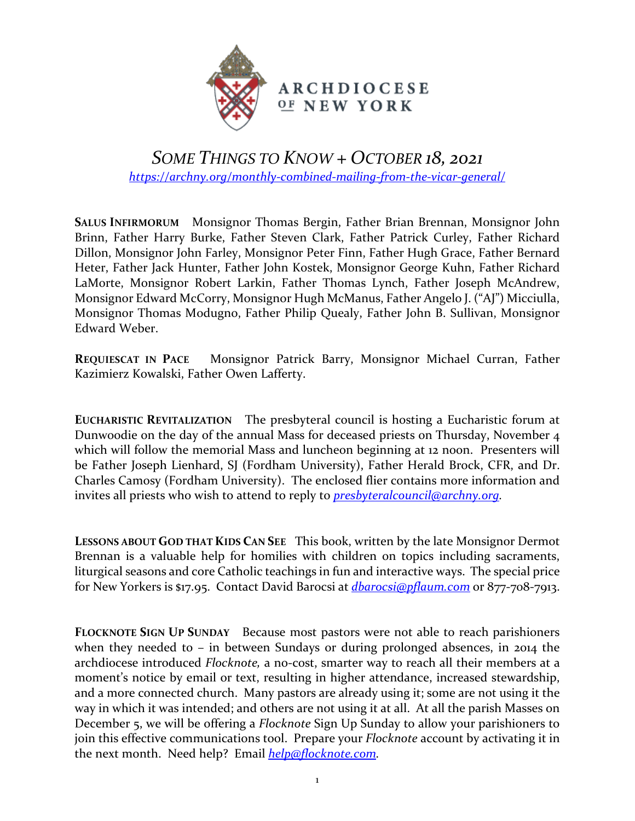

## *SOME THINGS TO KNOW + OCTOBER 18, 2021 <https://archny.org/monthly-combined-mailing-from-the-vicar-general/>*

**SALUS INFIRMORUM** Monsignor Thomas Bergin, Father Brian Brennan, Monsignor John Brinn, Father Harry Burke, Father Steven Clark, Father Patrick Curley, Father Richard Dillon, Monsignor John Farley, Monsignor Peter Finn, Father Hugh Grace, Father Bernard Heter, Father Jack Hunter, Father John Kostek, Monsignor George Kuhn, Father Richard LaMorte, Monsignor Robert Larkin, Father Thomas Lynch, Father Joseph McAndrew, Monsignor Edward McCorry, Monsignor Hugh McManus, Father Angelo J. ("AJ") Micciulla, Monsignor Thomas Modugno, Father Philip Quealy, Father John B. Sullivan, Monsignor Edward Weber.

**REQUIESCAT IN PACE** Monsignor Patrick Barry, Monsignor Michael Curran, Father Kazimierz Kowalski, Father Owen Lafferty.

**EUCHARISTIC REVITALIZATION** The presbyteral council is hosting a Eucharistic forum at Dunwoodie on the day of the annual Mass for deceased priests on Thursday, November 4 which will follow the memorial Mass and luncheon beginning at 12 noon. Presenters will be Father Joseph Lienhard, SJ (Fordham University), Father Herald Brock, CFR, and Dr. Charles Camosy (Fordham University). The enclosed flier contains more information and invites all priests who wish to attend to reply to *[presbyteralcouncil@archny.org.](mailto:presbyteralcouncil@archny.org)*

**LESSONS ABOUT GOD THAT KIDS CAN SEE** This book, written by the late Monsignor Dermot Brennan is a valuable help for homilies with children on topics including sacraments, liturgical seasons and core Catholic teachings in fun and interactive ways. The special price for New Yorkers is \$17.95. Contact David Barocsi at *[dbarocsi@pflaum.com](mailto:dbarocsi@pflaum.com)* or 877-708-7913.

**FLOCKNOTE SIGN UP SUNDAY** Because most pastors were not able to reach parishioners when they needed to – in between Sundays or during prolonged absences, in 2014 the archdiocese introduced *Flocknote,* a no-cost, smarter way to reach all their members at a moment's notice by email or text, resulting in higher attendance, increased stewardship, and a more connected church. Many pastors are already using it; some are not using it the way in which it was intended; and others are not using it at all. At all the parish Masses on December 5, we will be offering a *Flocknote* Sign Up Sunday to allow your parishioners to join this effective communications tool. Prepare your *Flocknote* account by activating it in the next month. Need help? Email *[help@flocknote.com.](mailto:help@flocknote.com)*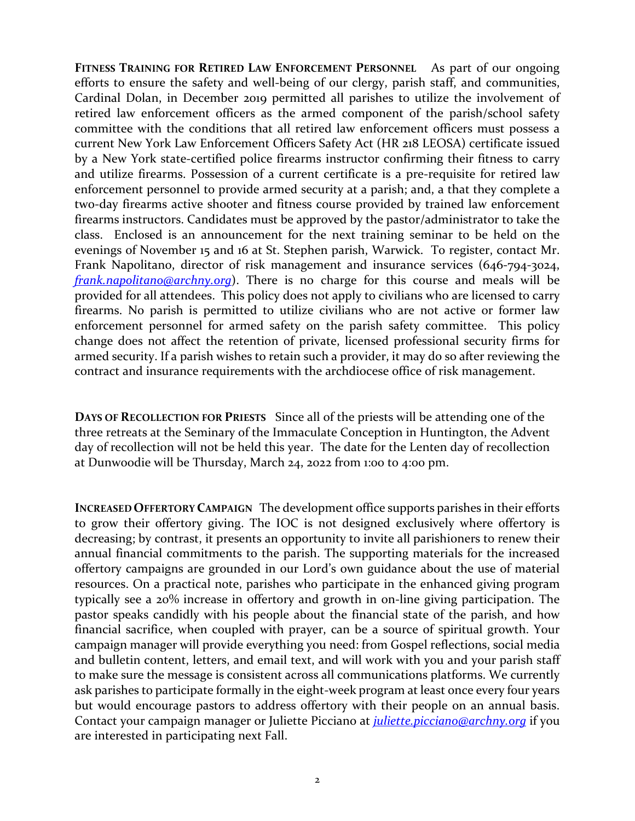**FITNESS TRAINING FOR RETIRED LAW ENFORCEMENT PERSONNEL** As part of our ongoing efforts to ensure the safety and well-being of our clergy, parish staff, and communities, Cardinal Dolan, in December 2019 permitted all parishes to utilize the involvement of retired law enforcement officers as the armed component of the parish/school safety committee with the conditions that all retired law enforcement officers must possess a current New York Law Enforcement Officers Safety Act (HR 218 LEOSA) certificate issued by a New York state-certified police firearms instructor confirming their fitness to carry and utilize firearms. Possession of a current certificate is a pre-requisite for retired law enforcement personnel to provide armed security at a parish; and, a that they complete a two-day firearms active shooter and fitness course provided by trained law enforcement firearms instructors. Candidates must be approved by the pastor/administrator to take the class. Enclosed is an announcement for the next training seminar to be held on the evenings of November 15 and 16 at St. Stephen parish, Warwick. To register, contact Mr. Frank Napolitano, director of risk management and insurance services (646-794-3024, *[frank.napolitano@archny.org](mailto:frank.napolitano@archny.org)*). There is no charge for this course and meals will be provided for all attendees. This policy does not apply to civilians who are licensed to carry firearms. No parish is permitted to utilize civilians who are not active or former law enforcement personnel for armed safety on the parish safety committee. This policy change does not affect the retention of private, licensed professional security firms for armed security. If a parish wishes to retain such a provider, it may do so after reviewing the contract and insurance requirements with the archdiocese office of risk management.

**DAYS OF RECOLLECTION FOR PRIESTS** Since all of the priests will be attending one of the three retreats at the Seminary of the Immaculate Conception in Huntington, the Advent day of recollection will not be held this year. The date for the Lenten day of recollection at Dunwoodie will be Thursday, March 24, 2022 from 1:00 to 4:00 pm.

**INCREASED OFFERTORY CAMPAIGN** The development office supports parishes in their efforts to grow their offertory giving. The IOC is not designed exclusively where offertory is decreasing; by contrast, it presents an opportunity to invite all parishioners to renew their annual financial commitments to the parish. The supporting materials for the increased offertory campaigns are grounded in our Lord's own guidance about the use of material resources. On a practical note, parishes who participate in the enhanced giving program typically see a 20% increase in offertory and growth in on-line giving participation. The pastor speaks candidly with his people about the financial state of the parish, and how financial sacrifice, when coupled with prayer, can be a source of spiritual growth. Your campaign manager will provide everything you need: from Gospel reflections, social media and bulletin content, letters, and email text, and will work with you and your parish staff to make sure the message is consistent across all communications platforms. We currently ask parishes to participate formally in the eight-week program at least once every four years but would encourage pastors to address offertory with their people on an annual basis. Contact your campaign manager or Juliette Picciano at *[juliette.picciano@archny.org](mailto:juliette.picciano@archny.org)* if you are interested in participating next Fall.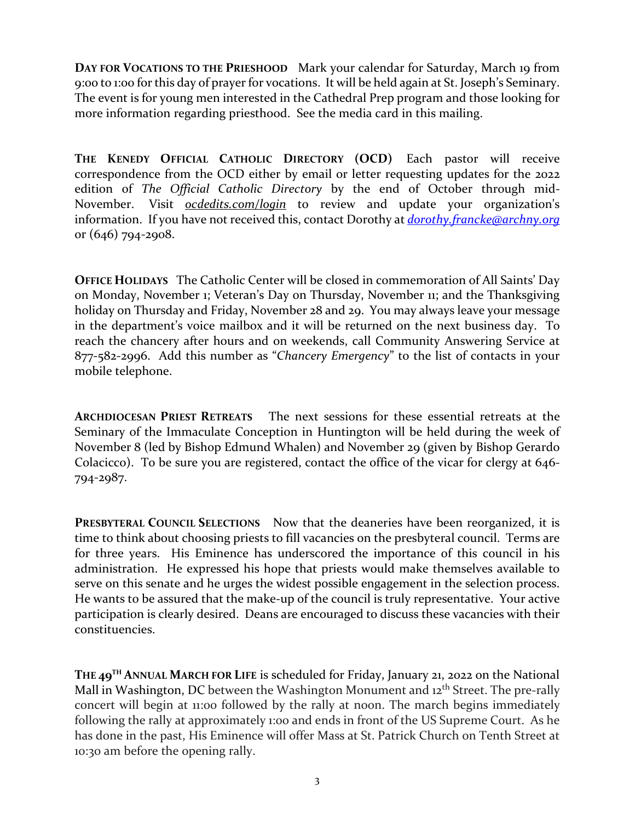**DAY FOR VOCATIONS TO THE PRIESHOOD** Mark your calendar for Saturday, March 19 from 9:00 to 1:00 for this day of prayer for vocations. It will be held again at St. Joseph's Seminary. The event is for young men interested in the Cathedral Prep program and those looking for more information regarding priesthood. See the media card in this mailing.

**THE KENEDY OFFICIAL CATHOLIC DIRECTORY (OCD)** Each pastor will receive correspondence from the OCD either by email or letter requesting updates for the 2022 edition of *The Official Catholic Directory* by the end of October through mid-November. Visit *[ocdedits.com/login](https://urldefense.proofpoint.com/v2/url?u=http-3A__ocdedits.com&d=DwMFAg&c=xRhiN2BRwJUM6w5u-Ngs3w&r=7gK8g6sco0f120JeuFO2da68fvx6UB8mPCnjjbaDrAk&m=qSJjRB-qmkdKH9hJAueIuozjyB0-MH04cmKETtbsfcE&s=1vv5MVt4eu7s3U6LTqVG7BekKy1nGGU71XA2sbFy2p0&e=)* to review and update your organization's information. If you have not received this, contact Dorothy at *[dorothy.francke@archny.org](mailto:dorothy.francke@archny.org)* or (646) 794-2908.

**OFFICE HOLIDAYS** The Catholic Center will be closed in commemoration of All Saints' Day on Monday, November 1; Veteran's Day on Thursday, November 11; and the Thanksgiving holiday on Thursday and Friday, November 28 and 29. You may always leave your message in the department's voice mailbox and it will be returned on the next business day. To reach the chancery after hours and on weekends, call Community Answering Service at 877-582-2996. Add this number as "*Chancery Emergency*" to the list of contacts in your mobile telephone.

**ARCHDIOCESAN PRIEST RETREATS** The next sessions for these essential retreats at the Seminary of the Immaculate Conception in Huntington will be held during the week of November 8 (led by Bishop Edmund Whalen) and November 29 (given by Bishop Gerardo Colacicco). To be sure you are registered, contact the office of the vicar for clergy at 646- 794-2987.

**PRESBYTERAL COUNCIL SELECTIONS** Now that the deaneries have been reorganized, it is time to think about choosing priests to fill vacancies on the presbyteral council. Terms are for three years. His Eminence has underscored the importance of this council in his administration. He expressed his hope that priests would make themselves available to serve on this senate and he urges the widest possible engagement in the selection process. He wants to be assured that the make-up of the council is truly representative. Your active participation is clearly desired. Deans are encouraged to discuss these vacancies with their constituencies.

**THE 49TH ANNUAL MARCH FOR LIFE** is scheduled for Friday, January 21, 2022 on the National Mall in Washington, DC between the Washington Monument and  $12<sup>th</sup>$  Street. The pre-rally concert will begin at 11:00 followed by the rally at noon. The march begins immediately following the rally at approximately 1:00 and ends in front of the US Supreme Court. As he has done in the past, His Eminence will offer Mass at St. Patrick Church on Tenth Street at 10:30 am before the opening rally.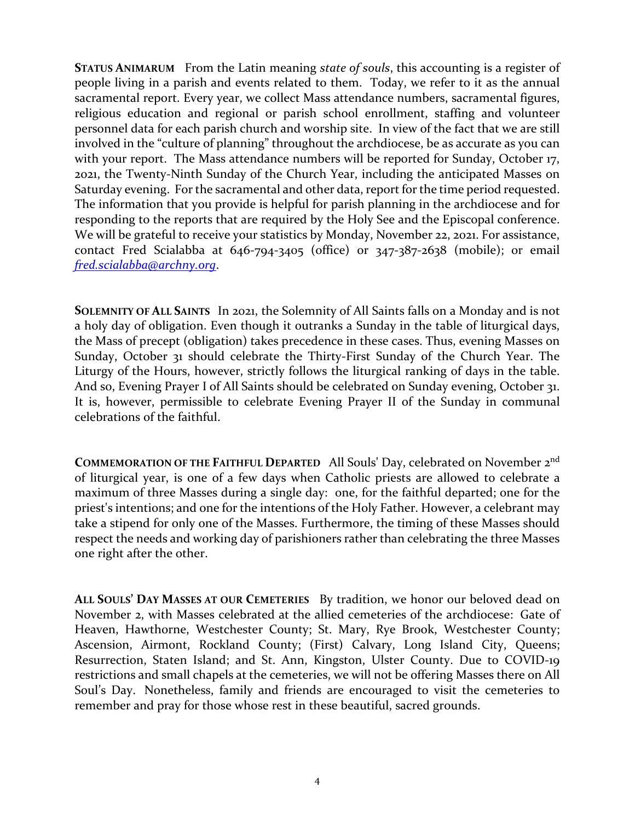**STATUS ANIMARUM** From the Latin meaning *state of souls*, this accounting is a register of people living in a parish and events related to them. Today, we refer to it as the annual sacramental report. Every year, we collect Mass attendance numbers, sacramental figures, religious education and regional or parish school enrollment, staffing and volunteer personnel data for each parish church and worship site. In view of the fact that we are still involved in the "culture of planning" throughout the archdiocese, be as accurate as you can with your report. The Mass attendance numbers will be reported for Sunday, October 17, 2021, the Twenty-Ninth Sunday of the Church Year, including the anticipated Masses on Saturday evening. For the sacramental and other data, report for the time period requested. The information that you provide is helpful for parish planning in the archdiocese and for responding to the reports that are required by the Holy See and the Episcopal conference. We will be grateful to receive your statistics by Monday, November 22, 2021. For assistance, contact Fred Scialabba at 646-794-3405 (office) or 347-387-2638 (mobile); or email *[fred.scialabba@archny.org](mailto:fred.scialabba@archny.org)*.

**SOLEMNITY OF ALL SAINTS** In 2021, the Solemnity of All Saints falls on a Monday and is not a holy day of obligation. Even though it outranks a Sunday in the table of liturgical days, the Mass of precept (obligation) takes precedence in these cases. Thus, evening Masses on Sunday, October 31 should celebrate the Thirty-First Sunday of the Church Year. The Liturgy of the Hours, however, strictly follows the liturgical ranking of days in the table. And so, Evening Prayer I of All Saints should be celebrated on Sunday evening, October 31. It is, however, permissible to celebrate Evening Prayer II of the Sunday in communal celebrations of the faithful.

**COMMEMORATION OF THE FAITHFUL DEPARTED** All Souls' Day, celebrated on November 2nd of liturgical year, is one of a few days when Catholic priests are allowed to celebrate a maximum of three Masses during a single day: one, for the faithful departed; one for the priest's intentions; and one for the intentions of the Holy Father. However, a celebrant may take a stipend for only one of the Masses. Furthermore, the timing of these Masses should respect the needs and working day of parishioners rather than celebrating the three Masses one right after the other.

**ALL SOULS' DAY MASSES AT OUR CEMETERIES** By tradition, we honor our beloved dead on November 2, with Masses celebrated at the allied cemeteries of the archdiocese: Gate of Heaven, Hawthorne, Westchester County; St. Mary, Rye Brook, Westchester County; Ascension, Airmont, Rockland County; (First) Calvary, Long Island City, Queens; Resurrection, Staten Island; and St. Ann, Kingston, Ulster County. Due to COVID-19 restrictions and small chapels at the cemeteries, we will not be offering Masses there on All Soul's Day. Nonetheless, family and friends are encouraged to visit the cemeteries to remember and pray for those whose rest in these beautiful, sacred grounds.